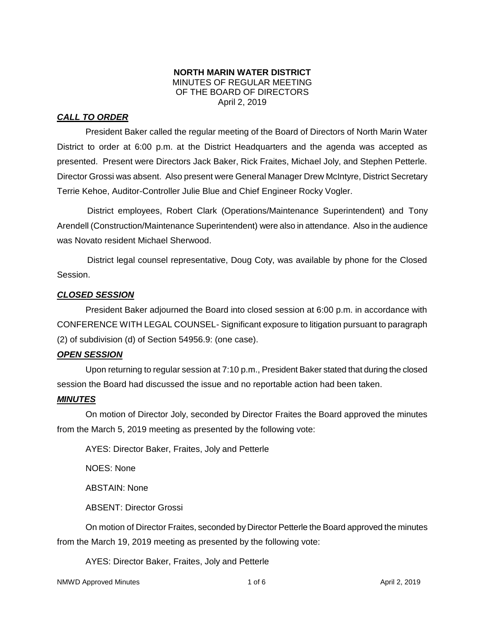### **NORTH MARIN WATER DISTRICT** MINUTES OF REGULAR MEETING OF THE BOARD OF DIRECTORS April 2, 2019

# *CALL TO ORDER*

President Baker called the regular meeting of the Board of Directors of North Marin Water District to order at 6:00 p.m. at the District Headquarters and the agenda was accepted as presented. Present were Directors Jack Baker, Rick Fraites, Michael Joly, and Stephen Petterle. Director Grossi was absent. Also present were General Manager Drew McIntyre, District Secretary Terrie Kehoe, Auditor-Controller Julie Blue and Chief Engineer Rocky Vogler.

District employees, Robert Clark (Operations/Maintenance Superintendent) and Tony Arendell (Construction/Maintenance Superintendent) were also in attendance. Also in the audience was Novato resident Michael Sherwood.

District legal counsel representative, Doug Coty, was available by phone for the Closed Session.

# *CLOSED SESSION*

President Baker adjourned the Board into closed session at 6:00 p.m. in accordance with CONFERENCE WITH LEGAL COUNSEL- Significant exposure to litigation pursuant to paragraph (2) of subdivision (d) of Section 54956.9: (one case).

# *OPEN SESSION*

Upon returning to regular session at 7:10 p.m., President Baker stated that during the closed session the Board had discussed the issue and no reportable action had been taken.

# *MINUTES*

On motion of Director Joly, seconded by Director Fraites the Board approved the minutes from the March 5, 2019 meeting as presented by the following vote:

AYES: Director Baker, Fraites, Joly and Petterle

NOES: None

ABSTAIN: None

ABSENT: Director Grossi

On motion of Director Fraites, seconded by Director Petterle the Board approved the minutes from the March 19, 2019 meeting as presented by the following vote:

AYES: Director Baker, Fraites, Joly and Petterle

NMWD Approved Minutes and the control of the 1 of 6 April 2, 2019 April 2, 2019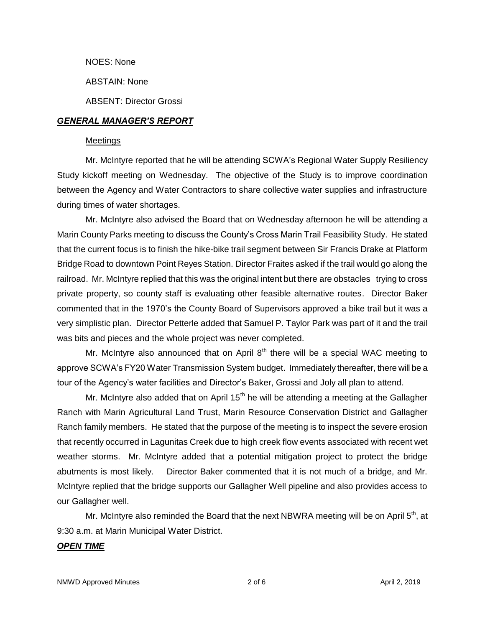NOES: None

ABSTAIN: None

ABSENT: Director Grossi

### *GENERAL MANAGER'S REPORT*

#### Meetings

Mr. McIntyre reported that he will be attending SCWA's Regional Water Supply Resiliency Study kickoff meeting on Wednesday. The objective of the Study is to improve coordination between the Agency and Water Contractors to share collective water supplies and infrastructure during times of water shortages.

Mr. McIntyre also advised the Board that on Wednesday afternoon he will be attending a Marin County Parks meeting to discuss the County's Cross Marin Trail Feasibility Study. He stated that the current focus is to finish the hike-bike trail segment between Sir Francis Drake at Platform Bridge Road to downtown Point Reyes Station. Director Fraites asked if the trail would go along the railroad. Mr. McIntyre replied that this was the original intent but there are obstacles trying to cross private property, so county staff is evaluating other feasible alternative routes. Director Baker commented that in the 1970's the County Board of Supervisors approved a bike trail but it was a very simplistic plan. Director Petterle added that Samuel P. Taylor Park was part of it and the trail was bits and pieces and the whole project was never completed.

Mr. McIntyre also announced that on April  $8<sup>th</sup>$  there will be a special WAC meeting to approve SCWA's FY20 Water Transmission System budget. Immediately thereafter, there will be a tour of the Agency's water facilities and Director's Baker, Grossi and Joly all plan to attend.

Mr. McIntyre also added that on April  $15<sup>th</sup>$  he will be attending a meeting at the Gallagher Ranch with Marin Agricultural Land Trust, Marin Resource Conservation District and Gallagher Ranch family members. He stated that the purpose of the meeting is to inspect the severe erosion that recently occurred in Lagunitas Creek due to high creek flow events associated with recent wet weather storms. Mr. McIntyre added that a potential mitigation project to protect the bridge abutments is most likely. Director Baker commented that it is not much of a bridge, and Mr. McIntyre replied that the bridge supports our Gallagher Well pipeline and also provides access to our Gallagher well.

Mr. McIntyre also reminded the Board that the next NBWRA meeting will be on April  $5<sup>th</sup>$ , at 9:30 a.m. at Marin Municipal Water District.

#### *OPEN TIME*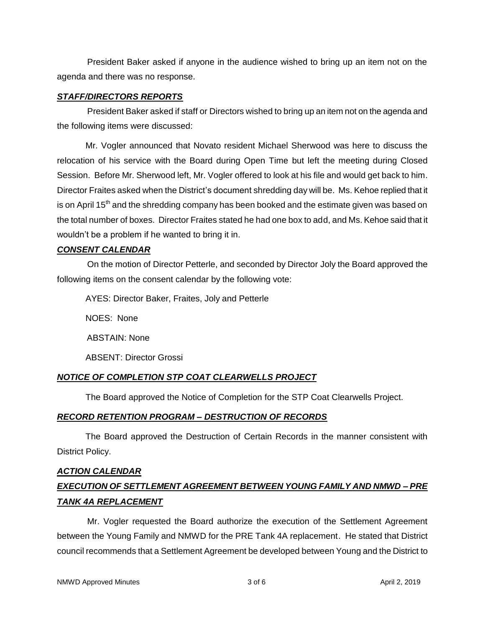President Baker asked if anyone in the audience wished to bring up an item not on the agenda and there was no response.

### *STAFF/DIRECTORS REPORTS*

President Baker asked if staff or Directors wished to bring up an item not on the agenda and the following items were discussed:

Mr. Vogler announced that Novato resident Michael Sherwood was here to discuss the relocation of his service with the Board during Open Time but left the meeting during Closed Session. Before Mr. Sherwood left, Mr. Vogler offered to look at his file and would get back to him. Director Fraites asked when the District's document shredding day will be. Ms. Kehoe replied that it is on April 15<sup>th</sup> and the shredding company has been booked and the estimate given was based on the total number of boxes. Director Fraites stated he had one box to add, and Ms. Kehoe said that it wouldn't be a problem if he wanted to bring it in.

# *CONSENT CALENDAR*

On the motion of Director Petterle, and seconded by Director Joly the Board approved the following items on the consent calendar by the following vote:

AYES: Director Baker, Fraites, Joly and Petterle

NOES: None

ABSTAIN: None

ABSENT: Director Grossi

# *NOTICE OF COMPLETION STP COAT CLEARWELLS PROJECT*

The Board approved the Notice of Completion for the STP Coat Clearwells Project.

# *RECORD RETENTION PROGRAM – DESTRUCTION OF RECORDS*

The Board approved the Destruction of Certain Records in the manner consistent with District Policy.

# *ACTION CALENDAR EXECUTION OF SETTLEMENT AGREEMENT BETWEEN YOUNG FAMILY AND NMWD – PRE TANK 4A REPLACEMENT*

Mr. Vogler requested the Board authorize the execution of the Settlement Agreement between the Young Family and NMWD for the PRE Tank 4A replacement. He stated that District council recommends that a Settlement Agreement be developed between Young and the District to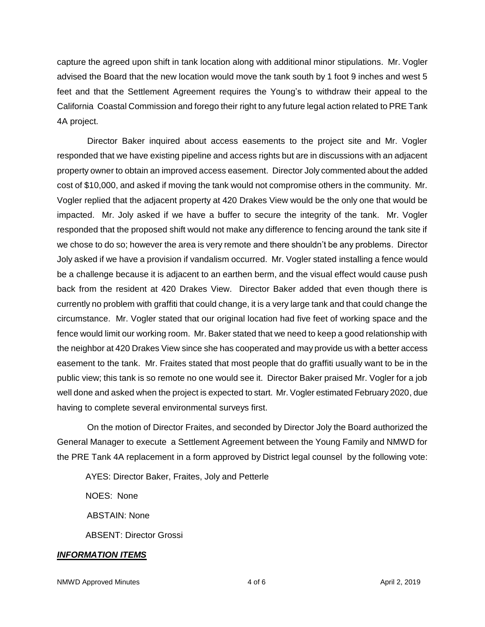capture the agreed upon shift in tank location along with additional minor stipulations. Mr. Vogler advised the Board that the new location would move the tank south by 1 foot 9 inches and west 5 feet and that the Settlement Agreement requires the Young's to withdraw their appeal to the California Coastal Commission and forego their right to any future legal action related to PRE Tank 4A project.

Director Baker inquired about access easements to the project site and Mr. Vogler responded that we have existing pipeline and access rights but are in discussions with an adjacent property owner to obtain an improved access easement. Director Joly commented about the added cost of \$10,000, and asked if moving the tank would not compromise others in the community. Mr. Vogler replied that the adjacent property at 420 Drakes View would be the only one that would be impacted. Mr. Joly asked if we have a buffer to secure the integrity of the tank. Mr. Vogler responded that the proposed shift would not make any difference to fencing around the tank site if we chose to do so; however the area is very remote and there shouldn't be any problems. Director Joly asked if we have a provision if vandalism occurred. Mr. Vogler stated installing a fence would be a challenge because it is adjacent to an earthen berm, and the visual effect would cause push back from the resident at 420 Drakes View. Director Baker added that even though there is currently no problem with graffiti that could change, it is a very large tank and that could change the circumstance. Mr. Vogler stated that our original location had five feet of working space and the fence would limit our working room. Mr. Baker stated that we need to keep a good relationship with the neighbor at 420 Drakes View since she has cooperated and may provide us with a better access easement to the tank. Mr. Fraites stated that most people that do graffiti usually want to be in the public view; this tank is so remote no one would see it. Director Baker praised Mr. Vogler for a job well done and asked when the project is expected to start. Mr. Vogler estimated February 2020, due having to complete several environmental surveys first.

On the motion of Director Fraites, and seconded by Director Joly the Board authorized the General Manager to execute a Settlement Agreement between the Young Family and NMWD for the PRE Tank 4A replacement in a form approved by District legal counsel by the following vote:

AYES: Director Baker, Fraites, Joly and Petterle

NOES: None ABSTAIN: None ABSENT: Director Grossi

# *INFORMATION ITEMS*

NMWD Approved Minutes and the control of the 4 of 6 April 2, 2019 April 2, 2019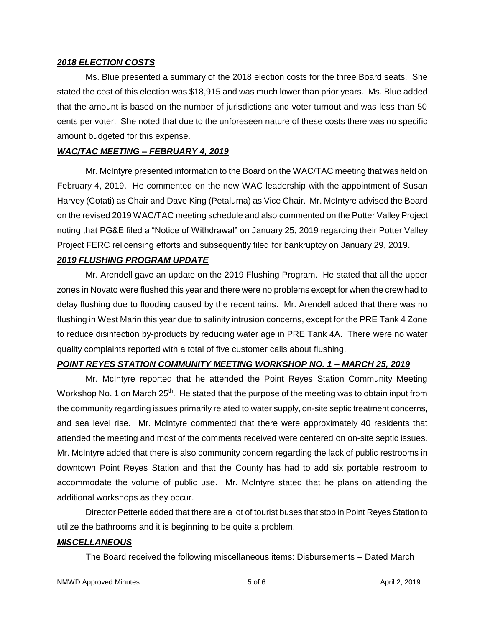#### *2018 ELECTION COSTS*

Ms. Blue presented a summary of the 2018 election costs for the three Board seats. She stated the cost of this election was \$18,915 and was much lower than prior years. Ms. Blue added that the amount is based on the number of jurisdictions and voter turnout and was less than 50 cents per voter. She noted that due to the unforeseen nature of these costs there was no specific amount budgeted for this expense.

### *WAC/TAC MEETING – FEBRUARY 4, 2019*

Mr. McIntyre presented information to the Board on the WAC/TAC meeting that was held on February 4, 2019. He commented on the new WAC leadership with the appointment of Susan Harvey (Cotati) as Chair and Dave King (Petaluma) as Vice Chair. Mr. McIntyre advised the Board on the revised 2019 WAC/TAC meeting schedule and also commented on the Potter Valley Project noting that PG&E filed a "Notice of Withdrawal" on January 25, 2019 regarding their Potter Valley Project FERC relicensing efforts and subsequently filed for bankruptcy on January 29, 2019.

# *2019 FLUSHING PROGRAM UPDATE*

Mr. Arendell gave an update on the 2019 Flushing Program. He stated that all the upper zones in Novato were flushed this year and there were no problems except for when the crew had to delay flushing due to flooding caused by the recent rains. Mr. Arendell added that there was no flushing in West Marin this year due to salinity intrusion concerns, except for the PRE Tank 4 Zone to reduce disinfection by-products by reducing water age in PRE Tank 4A. There were no water quality complaints reported with a total of five customer calls about flushing.

#### *POINT REYES STATION COMMUNITY MEETING WORKSHOP NO. 1 – MARCH 25, 2019*

Mr. McIntyre reported that he attended the Point Reyes Station Community Meeting Workshop No. 1 on March 25<sup>th</sup>. He stated that the purpose of the meeting was to obtain input from the community regarding issues primarily related to water supply, on-site septic treatment concerns, and sea level rise. Mr. McIntyre commented that there were approximately 40 residents that attended the meeting and most of the comments received were centered on on-site septic issues. Mr. McIntyre added that there is also community concern regarding the lack of public restrooms in downtown Point Reyes Station and that the County has had to add six portable restroom to accommodate the volume of public use. Mr. McIntyre stated that he plans on attending the additional workshops as they occur.

Director Petterle added that there are a lot of tourist buses that stop in Point Reyes Station to utilize the bathrooms and it is beginning to be quite a problem.

# *MISCELLANEOUS*

The Board received the following miscellaneous items: Disbursements – Dated March